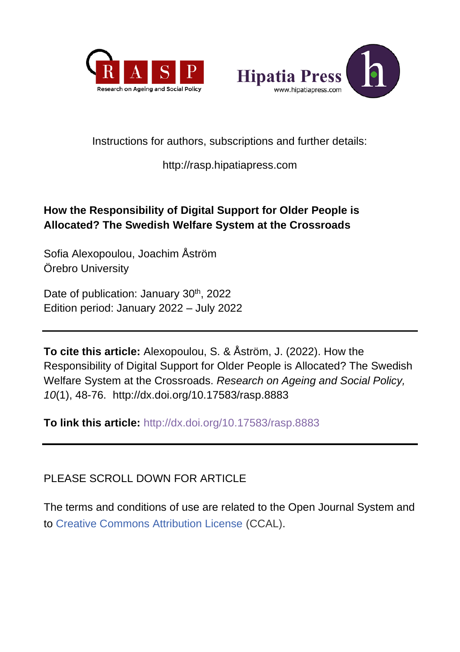



## Instructions for authors, subscriptions and further details:

## [http://rasp.hipatiapress.com](http://rasp.hipatiapress.com/)

## **How the Responsibility of Digital Support for Older People is Allocated? The Swedish Welfare System at the Crossroads**

Sofia Alexopoulou, Joachim Åström Örebro University

Date of publication: January 30<sup>th</sup>, 2022 Edition period: January 2022 – July 2022

**To cite this article:** Alexopoulou, S. & Åström, J. (2022). How the Responsibility of Digital Support for Older People is Allocated? The Swedish Welfare System at the Crossroads. *Research on Ageing and Social Policy, 10*(1), 48-76.<http://dx.doi.org/10.17583/rasp.8883>

**To link this article:** <http://dx.doi.org/10.17583/rasp.8883>

PLEASE SCROLL DOWN FOR ARTICLE

The terms and conditions of use are related to the Open Journal System and to [Creative Commons Attribution License](http://creativecommons.org/licenses/by/2.5/) (CCAL).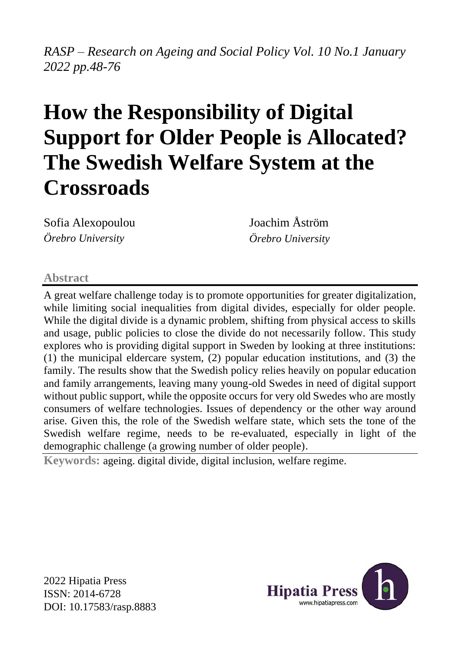# *RASP – Research on Ageing and Social Policy Vol. 10 No.1 January 2022 pp.48-76*

# **How the Responsibility of Digital Support for Older People is Allocated? The Swedish Welfare System at the Crossroads**

Sofia Alexopoulou *Örebro University*

Joachim Åström *Örebro University*

#### **Abstract**

A great welfare challenge today is to promote opportunities for greater digitalization, while limiting social inequalities from digital divides, especially for older people. While the digital divide is a dynamic problem, shifting from physical access to skills and usage, public policies to close the divide do not necessarily follow. This study explores who is providing digital support in Sweden by looking at three institutions: (1) the municipal eldercare system, (2) popular education institutions, and (3) the family. The results show that the Swedish policy relies heavily on popular education and family arrangements, leaving many young-old Swedes in need of digital support without public support, while the opposite occurs for very old Swedes who are mostly consumers of welfare technologies. Issues of dependency or the other way around arise. Given this, the role of the Swedish welfare state, which sets the tone of the Swedish welfare regime, needs to be re-evaluated, especially in light of the demographic challenge (a growing number of older people).

**Keywords:** ageing. digital divide, digital inclusion, welfare regime.

2022 Hipatia Press ISSN: 2014-6728 DOI: 10.17583/rasp.8883

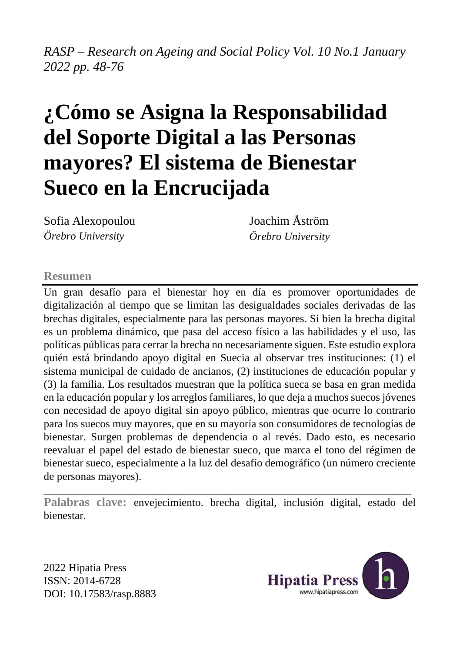# *RASP – Research on Ageing and Social Policy Vol. 10 No.1 January 2022 pp. 48-76*

# **¿Cómo se Asigna la Responsabilidad del Soporte Digital a las Personas mayores? El sistema de Bienestar Sueco en la Encrucijada**

Sofia Alexopoulou *Örebro University*

Joachim Åström *Örebro University*

#### **Resumen**

Un gran desafío para el bienestar hoy en día es promover oportunidades de digitalización al tiempo que se limitan las desigualdades sociales derivadas de las brechas digitales, especialmente para las personas mayores. Si bien la brecha digital es un problema dinámico, que pasa del acceso físico a las habilidades y el uso, las políticas públicas para cerrar la brecha no necesariamente siguen. Este estudio explora quién está brindando apoyo digital en Suecia al observar tres instituciones: (1) el sistema municipal de cuidado de ancianos, (2) instituciones de educación popular y (3) la familia. Los resultados muestran que la política sueca se basa en gran medida en la educación popular y los arreglos familiares, lo que deja a muchos suecos jóvenes con necesidad de apoyo digital sin apoyo público, mientras que ocurre lo contrario para los suecos muy mayores, que en su mayoría son consumidores de tecnologías de bienestar. Surgen problemas de dependencia o al revés. Dado esto, es necesario reevaluar el papel del estado de bienestar sueco, que marca el tono del régimen de bienestar sueco, especialmente a la luz del desafío demográfico (un número creciente de personas mayores).

\_\_\_\_\_\_\_\_\_\_\_\_\_\_\_\_\_\_\_\_\_\_\_\_\_\_\_\_\_\_\_\_\_\_\_\_\_\_\_\_\_\_\_\_\_\_\_\_\_\_\_\_\_\_\_\_\_\_\_\_\_ **Palabras clave:** envejecimiento. brecha digital, inclusión digital, estado del bienestar.

2022 Hipatia Press ISSN: 2014-6728 DOI: 10.17583/rasp.8883

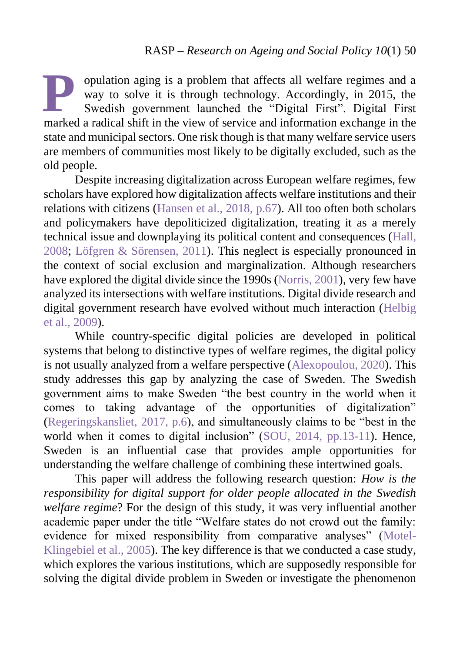opulation aging is a problem that affects all welfare regimes and a way to solve it is through technology. Accordingly, in 2015, the Swedish government launched the "Digital First". Digital First pulation aging is a problem that affects all welfare regimes and a way to solve it is through technology. Accordingly, in 2015, the Swedish government launched the "Digital First". Digital First marked a radical shift in t state and municipal sectors. One risk though is that many welfare service users are members of communities most likely to be digitally excluded, such as the old people.

<span id="page-3-1"></span><span id="page-3-0"></span>Despite increasing digitalization across European welfare regimes, few scholars have explored how digitalization affects welfare institutions and their relations with citizens (Hansen [et al., 2018, p.67\)](#page-3-0). All too often both scholars and policymakers have depoliticized digitalization, treating it as a merely technical issue and downplaying its political content and consequences [\(Hall,](#page-3-1) [2008;](#page-3-1) [Löfgren &](#page-26-0) Sörensen, 2011). This neglect is especially pronounced in the context of social exclusion and marginalization. Although researchers have explored the digital divide since the 1990s [\(Norris,](#page-3-2) 2001), very few have analyzed its intersections with welfare institutions. Digital divide research and digital government research have evolved without much interaction [\(Helbig](#page-25-0)  [et al.,](#page-25-0) 2009).

<span id="page-3-2"></span>While country-specific digital policies are developed in political systems that belong to distinctive types of welfare regimes, the digital policy is not usually analyzed from a welfare perspective [\(Alexopoulou,](#page-23-0) 2020). This study addresses this gap by analyzing the case of Sweden. The Swedish government aims to make Sweden "the best country in the world when it comes to taking advantage of the opportunities of digitalization" [\(Regeringskansliet,](#page-27-0) 2017, p.6), and simultaneously claims to be "best in the world when it comes to digital inclusion" (SOU, [2014, pp.13-11\)](#page-28-0). Hence, Sweden is an influential case that provides ample opportunities for understanding the welfare challenge of combining these intertwined goals.

This paper will address the following research question: *How is the responsibility for digital support for older people allocated in the Swedish welfare regime*? For the design of this study, it was very influential another academic paper under the title "Welfare states do not crowd out the family: evidence for mixed responsibility from comparative analyses" [\(Motel-](#page-26-1)[Klingebiel et al., 2005\)](#page-26-1). The key difference is that we conducted a case study, which explores the various institutions, which are supposedly responsible for solving the digital divide problem in Sweden or investigate the phenomenon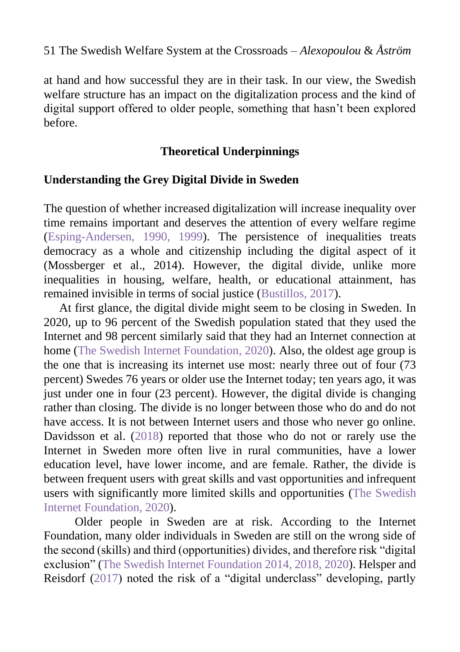at hand and how successful they are in their task. In our view, the Swedish welfare structure has an impact on the digitalization process and the kind of digital support offered to older people, something that hasn't been explored before.

## **Theoretical Underpinnings**

## **Understanding the Grey Digital Divide in Sweden**

<span id="page-4-0"></span>The question of whether increased digitalization will increase inequality over time remains important and deserves the attention of every welfare regime [\(Esping-Andersen, 1990,](#page-24-0) 1999). The persistence of inequalities treats democracy as a whole and citizenship including the digital aspect of it (Mossberger et al., 2014). However, the digital divide, unlike more inequalities in housing, welfare, health, or educational attainment, has remained invisible in terms of social justice [\(Bustillos, 2017\)](#page-23-1).

At first glance, the digital divide might seem to be closing in Sweden. In 2020, up to 96 percent of the Swedish population stated that they used the Internet and 98 percent similarly said that they had an Internet connection at home [\(The Swedish Internet Foundation,](#page-28-1) 2020). Also, the oldest age group is the one that is increasing its internet use most: nearly three out of four (73 percent) Swedes 76 years or older use the Internet today; ten years ago, it was just under one in four (23 percent). However, the digital divide is changing rather than closing. The divide is no longer between those who do and do not have access. It is not between Internet users and those who never go online. Davidsson et al. [\(2018\)](#page-24-1) reported that those who do not or rarely use the Internet in Sweden more often live in rural communities, have a lower education level, have lower income, and are female. Rather, the divide is between frequent users with great skills and vast opportunities and infrequent users with significantly more limited skills and opportunities [\(The Swedish](#page-28-1)  [Internet Foundation,](#page-28-1) 2020).

Older people in Sweden are at risk. According to the Internet Foundation, many older individuals in Sweden are still on the wrong side of the second (skills) and third (opportunities) divides, and therefore risk "digital exclusion" [\(The Swedish Internet Foundation 2014, 2018, 2020\)](#page-28-1). Helsper and Reisdorf [\(2017\)](#page-25-1) noted the risk of a "digital underclass" developing, partly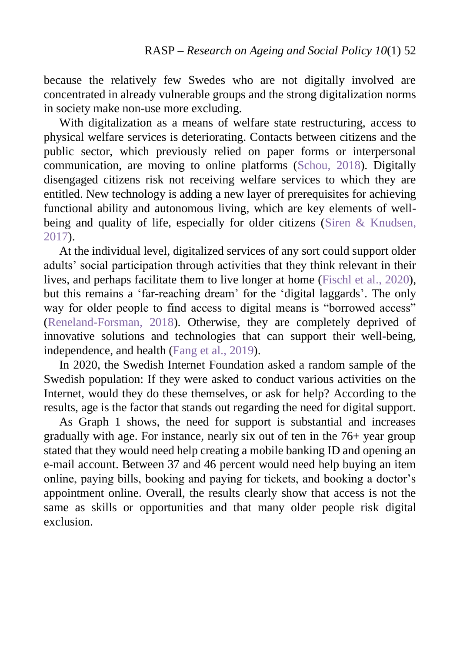because the relatively few Swedes who are not digitally involved are concentrated in already vulnerable groups and the strong digitalization norms in society make non-use more excluding.

With digitalization as a means of welfare state restructuring, access to physical welfare services is deteriorating. Contacts between citizens and the public sector, which previously relied on paper forms or interpersonal communication, are moving to online platforms [\(Schou,](#page-27-1) 2018). Digitally disengaged citizens risk not receiving welfare services to which they are entitled. New technology is adding a new layer of prerequisites for achieving functional ability and autonomous living, which are key elements of well-being and quality of life, especially for older citizens [\(Siren & Knudsen,](#page-27-2) [2017\)](#page-27-2).

At the individual level, digitalized services of any sort could support older adults' social participation through activities that they think relevant in their lives, and perhaps facilitate them to live longer at home [\(Fischl et al., 2020\)](#page-24-2), but this remains a 'far-reaching dream' for the 'digital laggards'. The only way for older people to find access to digital means is "borrowed access" [\(Reneland-Forsman, 2018\)](#page-27-3). Otherwise, they are completely deprived of innovative solutions and technologies that can support their well-being, independence, and health [\(Fang et al., 2019\)](#page-24-3).

In 2020, the Swedish Internet Foundation asked a random sample of the Swedish population: If they were asked to conduct various activities on the Internet, would they do these themselves, or ask for help? According to the results, age is the factor that stands out regarding the need for digital support.

As Graph 1 shows, the need for support is substantial and increases gradually with age. For instance, nearly six out of ten in the 76+ year group stated that they would need help creating a mobile banking ID and opening an e-mail account. Between 37 and 46 percent would need help buying an item online, paying bills, booking and paying for tickets, and booking a doctor's appointment online. Overall, the results clearly show that access is not the same as skills or opportunities and that many older people risk digital exclusion.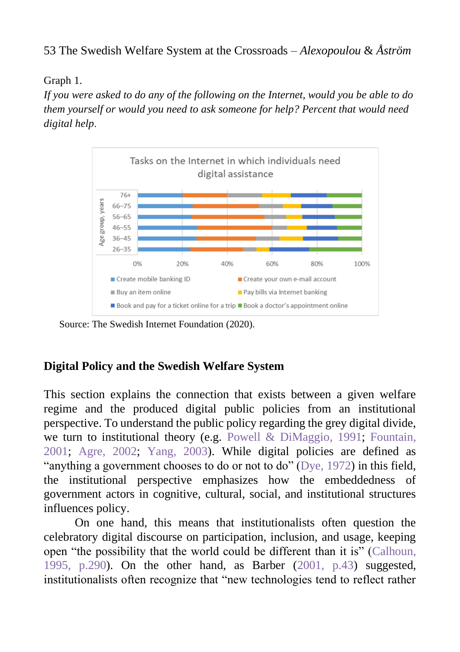## Graph 1.

*If you were asked to do any of the following on the Internet, would you be able to do them yourself or would you need to ask someone for help? Percent that would need digital help*.



Source: The Swedish Internet Foundation (2020).

# **Digital Policy and the Swedish Welfare System**

This section explains the connection that exists between a given welfare regime and the produced digital public policies from an institutional perspective. To understand the public policy regarding the grey digital divide, we turn to institutional theory (e.g. Powell & [DiMaggio,](#page-27-4) 1991; [Fountain,](#page-25-2) [2001;](#page-25-2) [Agre,](#page-23-2) 2002; [Yang,](#page-29-0) 2003). While digital policies are defined as "anything a government chooses to do or not to do" (Dye, [1972\)](#page-24-4) in this field, the institutional perspective emphasizes how the embeddedness of government actors in cognitive, cultural, social, and institutional structures influences policy.

On one hand, this means that institutionalists often question the celebratory digital discourse on participation, inclusion, and usage, keeping open "the possibility that the world could be different than it is" [\(Calhoun,](#page-23-3) [1995, p.290\)](#page-23-3). On the other hand, as Barber [\(2001, p.43\)](#page-23-4) suggested, institutionalists often recognize that "new technologies tend to reflect rather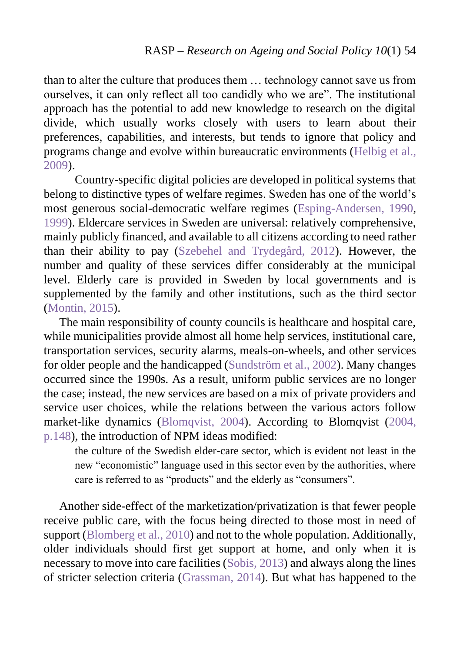than to alter the culture that produces them … technology cannot save us from ourselves, it can only reflect all too candidly who we are". The institutional approach has the potential to add new knowledge to research on the digital divide, which usually works closely with users to learn about their preferences, capabilities, and interests, but tends to ignore that policy and programs change and evolve within bureaucratic environments [\(Helbig et al.,](#page-25-0) [2009\)](#page-25-0).

Country-specific digital policies are developed in political systems that belong to distinctive types of welfare regimes. Sweden has one of the world's most generous social-democratic welfare regimes [\(Esping-Andersen,](#page-4-0) 1990, [1999\)](#page-4-0). Eldercare services in Sweden are universal: relatively comprehensive, mainly publicly financed, and available to all citizens according to need rather than their ability to pay [\(Szebehel and Trydegård,](#page-28-2) 2012). However, the number and quality of these services differ considerably at the municipal level. Elderly care is provided in Sweden by local governments and is supplemented by the family and other institutions, such as the third sector [\(Montin,](#page-26-2) 2015).

The main responsibility of county councils is healthcare and hospital care, while municipalities provide almost all home help services, institutional care, transportation services, security alarms, meals-on-wheels, and other services for older people and the handicapped [\(Sundström et al.,](#page-28-3) 2002). Many changes occurred since the 1990s. As a result, uniform public services are no longer the case; instead, the new services are based on a mix of private providers and service user choices, while the relations between the various actors follow market-like dynamics [\(Blomqvist,](#page-23-5) 2004). According to Blomqvist [\(2004,](#page-23-5)  [p.148\)](#page-23-5), the introduction of NPM ideas modified:

the culture of the Swedish elder-care sector, which is evident not least in the new "economistic" language used in this sector even by the authorities, where care is referred to as "products" and the elderly as "consumers".

Another side-effect of the marketization/privatization is that fewer people receive public care, with the focus being directed to those most in need of support (Blomberg [et al., 2010\)](#page-23-5) and not to the whole population. Additionally, older individuals should first get support at home, and only when it is necessary to move into care facilities [\(Sobis,](#page-28-4) 2013) and always along the lines of stricter selection criteria [\(Grassman,](#page-25-3) 2014). But what has happened to the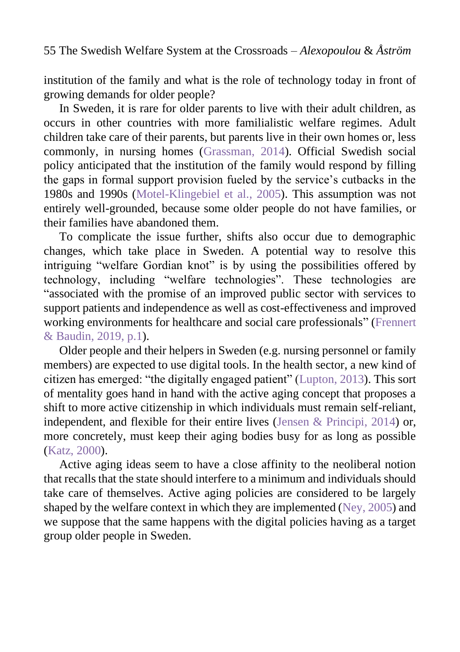institution of the family and what is the role of technology today in front of growing demands for older people?

In Sweden, it is rare for older parents to live with their adult children, as occurs in other countries with more familialistic welfare regimes. Adult children take care of their parents, but parents live in their own homes or, less commonly, in nursing homes [\(Grassman, 2014\)](#page-25-3). Official Swedish social policy anticipated that the institution of the family would respond by filling the gaps in formal support provision fueled by the service's cutbacks in the 1980s and 1990s [\(Motel-Klingebiel et al.,](#page-26-1) 2005). This assumption was not entirely well-grounded, because some older people do not have families, or their families have abandoned them.

To complicate the issue further, shifts also occur due to demographic changes, which take place in Sweden. A potential way to resolve this intriguing "welfare Gordian knot" is by using the possibilities offered by technology, including "welfare technologies". These technologies are "associated with the promise of an improved public sector with services to support patients and independence as well as cost-effectiveness and improved working environments for healthcare and social care professionals" [\(Frennert](#page-25-4)  & [Baudin, 2019, p.1\)](#page-25-4).

Older people and their helpers in Sweden (e.g. nursing personnel or family members) are expected to use digital tools. In the health sector, a new kind of citizen has emerged: "the digitally engaged patient" [\(Lupton,](#page-26-3) 2013). This sort of mentality goes hand in hand with the active aging concept that proposes a shift to more active citizenship in which individuals must remain self-reliant, independent, and flexible for their entire lives (Jensen & [Principi, 2014\)](#page-25-5) or, more concretely, must keep their aging bodies busy for as long as possible [\(Katz, 2000\)](#page-26-4).

Active aging ideas seem to have a close affinity to the neoliberal notion that recalls that the state should interfere to a minimum and individuals should take care of themselves. Active aging policies are considered to be largely shaped by the welfare context in which they are implemented (Ney, [2005\)](#page-27-5) and we suppose that the same happens with the digital policies having as a target group older people in Sweden.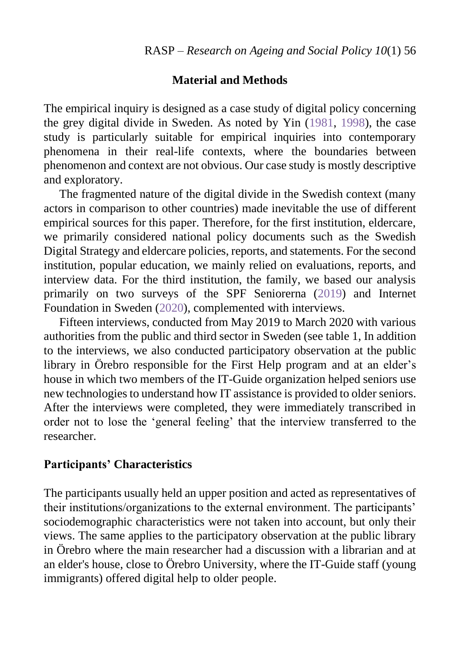#### **Material and Methods**

The empirical inquiry is designed as a case study of digital policy concerning the grey digital divide in Sweden. As noted by Yin [\(1981,](#page-29-1) 1998), the case study is particularly suitable for empirical inquiries into contemporary phenomena in their real-life contexts, where the boundaries between phenomenon and context are not obvious. Our case study is mostly descriptive and exploratory.

The fragmented nature of the digital divide in the Swedish context (many actors in comparison to other countries) made inevitable the use of different empirical sources for this paper. Therefore, for the first institution, eldercare, we primarily considered national policy documents such as the Swedish Digital Strategy and eldercare policies, reports, and statements. For the second institution, popular education, we mainly relied on evaluations, reports, and interview data. For the third institution, the family, we based our analysis primarily on two surveys of the SPF Seniorerna [\(2019\)](#page-28-5) and Internet Foundation in Sweden [\(2020\)](#page-28-1), complemented with interviews.

Fifteen interviews, conducted from May 2019 to March 2020 with various authorities from the public and third sector in Sweden (see table 1, In addition to the interviews, we also conducted participatory observation at the public library in Örebro responsible for the First Help program and at an elder's house in which two members of the IT-Guide organization helped seniors use new technologies to understand how IT assistance is provided to older seniors. After the interviews were completed, they were immediately transcribed in order not to lose the 'general feeling' that the interview transferred to the researcher.

## **Participants' Characteristics**

The participants usually held an upper position and acted as representatives of their institutions/organizations to the external environment. The participants' sociodemographic characteristics were not taken into account, but only their views. The same applies to the participatory observation at the public library in Örebro where the main researcher had a discussion with a librarian and at an elder's house, close to Örebro University, where the IT-Guide staff (young immigrants) offered digital help to older people.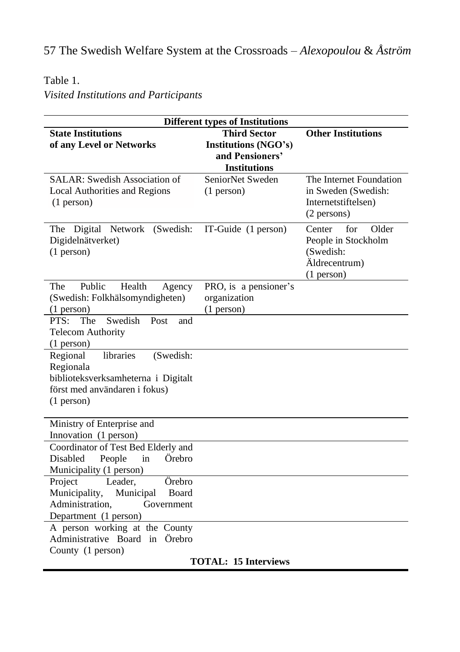# Table 1.

# *Visited Institutions and Participants*

| <b>Different types of Institutions</b>                                                                                                     |                                                                                              |                                                                                                |  |
|--------------------------------------------------------------------------------------------------------------------------------------------|----------------------------------------------------------------------------------------------|------------------------------------------------------------------------------------------------|--|
| <b>State Institutions</b><br>of any Level or Networks                                                                                      | <b>Third Sector</b><br><b>Institutions (NGO's)</b><br>and Pensioners'<br><b>Institutions</b> | <b>Other Institutions</b>                                                                      |  |
| SALAR: Swedish Association of<br><b>Local Authorities and Regions</b><br>$(1$ person $)$                                                   | SeniorNet Sweden<br>$(1$ person)                                                             | The Internet Foundation<br>in Sweden (Swedish:<br>Internetstiftelsen)<br>(2 persons)           |  |
| The Digital Network<br>(Swedish:<br>Digidelnätverket)<br>$(1$ person)                                                                      | IT-Guide (1 person)                                                                          | Older<br>for<br>Center<br>People in Stockholm<br>(Swedish:<br>Äldrecentrum)<br>$(1$ person $)$ |  |
| Public<br>The<br>Health<br>Agency<br>(Swedish: Folkhälsomyndigheten)<br>$(1$ person)                                                       | PRO, is a pensioner's<br>organization<br>$(1$ person)                                        |                                                                                                |  |
| Swedish<br>PTS:<br>The<br>Post<br>and<br><b>Telecom Authority</b><br>$(1$ person)                                                          |                                                                                              |                                                                                                |  |
| (Swedish:<br>Regional<br>libraries<br>Regionala<br>biblioteksverksamheterna i Digitalt<br>först med användaren i fokus)<br>$(1$ person $)$ |                                                                                              |                                                                                                |  |
| Ministry of Enterprise and<br>Innovation (1 person)                                                                                        |                                                                                              |                                                                                                |  |
| Coordinator of Test Bed Elderly and<br>Örebro<br>Disabled<br>People<br>in<br>Municipality (1 person)                                       |                                                                                              |                                                                                                |  |
| Leader,<br>Örebro<br>Project<br>Municipality,<br>Municipal<br>Board<br>Administration,<br>Government<br>Department (1 person)              |                                                                                              |                                                                                                |  |
| A person working at the County<br>Administrative Board in Örebro<br>County (1 person)                                                      |                                                                                              |                                                                                                |  |
| <b>TOTAL: 15 Interviews</b>                                                                                                                |                                                                                              |                                                                                                |  |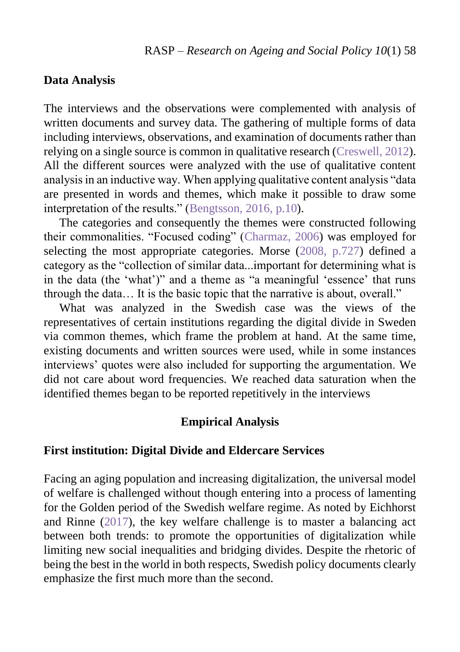## **Data Analysis**

The interviews and the observations were complemented with analysis of written documents and survey data. The gathering of multiple forms of data including interviews, observations, and examination of documents rather than relying on a single source is common in qualitative research [\(Creswell, 2012\)](#page-23-6). All the different sources were analyzed with the use of qualitative content analysis in an inductive way. When applying qualitative content analysis "data are presented in words and themes, which make it possible to draw some interpretation of the results." [\(Bengtsson, 2016, p.10\)](#page-23-7).

The categories and consequently the themes were constructed following their commonalities. "Focused coding" [\(Charmaz, 2006\)](#page-23-8) was employed for selecting the most appropriate categories. Morse [\(2008, p.727\)](#page-26-5) defined a category as the "collection of similar data...important for determining what is in the data (the 'what')" and a theme as "a meaningful 'essence' that runs through the data… It is the basic topic that the narrative is about, overall."

What was analyzed in the Swedish case was the views of the representatives of certain institutions regarding the digital divide in Sweden via common themes, which frame the problem at hand. At the same time, existing documents and written sources were used, while in some instances interviews' quotes were also included for supporting the argumentation. We did not care about word frequencies. We reached data saturation when the identified themes began to be reported repetitively in the interviews

#### **Empirical Analysis**

#### **First institution: Digital Divide and Eldercare Services**

<span id="page-11-0"></span>Facing an aging population and increasing digitalization, the universal model of welfare is challenged without though entering into a process of lamenting for the Golden period of the Swedish welfare regime. As noted by Eichhorst and Rinne [\(2017\)](#page-11-0), the key welfare challenge is to master a balancing act between both trends: to promote the opportunities of digitalization while limiting new social inequalities and bridging divides. Despite the rhetoric of being the best in the world in both respects, Swedish policy documents clearly emphasize the first much more than the second.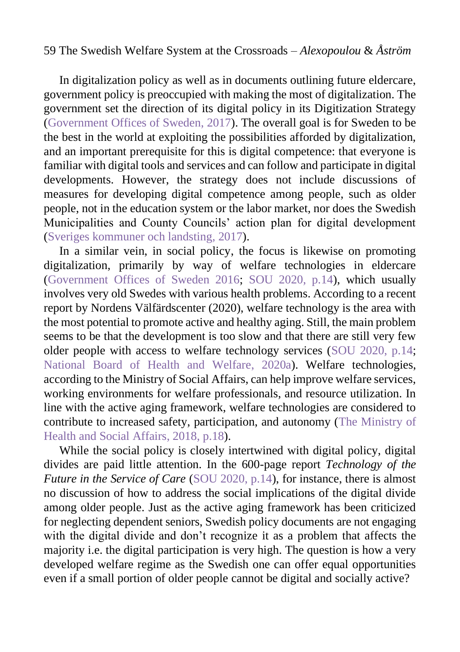In digitalization policy as well as in documents outlining future eldercare, government policy is preoccupied with making the most of digitalization. The government set the direction of its digital policy in its Digitization Strategy [\(Government Offices of Sweden,](#page-25-6) 2017). The overall goal is for Sweden to be the best in the world at exploiting the possibilities afforded by digitalization, and an important prerequisite for this is digital competence: that everyone is familiar with digital tools and services and can follow and participate in digital developments. However, the strategy does not include discussions of measures for developing digital competence among people, such as older people, not in the education system or the labor market, nor does the Swedish Municipalities and County Councils' action plan for digital development [\(Sveriges kommuner och landsting,](#page-28-6) 2017).

In a similar vein, in social policy, the focus is likewise on promoting digitalization, primarily by way of welfare technologies in eldercare [\(Government Offices of Sweden 2016;](#page-25-7) [SOU 2020, p.14\)](#page-28-0), which usually involves very old Swedes with various health problems. According to a recent report by Nordens Välfärdscenter (2020), welfare technology is the area with the most potential to promote active and healthy aging. Still, the main problem seems to be that the development is too slow and that there are still very few older people with access to welfare technology services [\(SOU 2020, p.14;](#page-28-0) [National Board of Health and Welfare,](#page-26-6) 2020a). Welfare technologies, according to the Ministry of Social Affairs, can help improve welfare services, working environments for welfare professionals, and resource utilization. In line with the active aging framework, welfare technologies are considered to contribute to increased safety, participation, and autonomy [\(The Ministry of](#page-28-7)  [Health and Social Affairs,](#page-28-7) 2018, p.18).

While the social policy is closely intertwined with digital policy, digital divides are paid little attention. In the 600-page report *Technology of the Future in the Service of Care* [\(SOU 2020, p.14\)](#page-28-0), for instance, there is almost no discussion of how to address the social implications of the digital divide among older people. Just as the active aging framework has been criticized for neglecting dependent seniors, Swedish policy documents are not engaging with the digital divide and don't recognize it as a problem that affects the majority i.e. the digital participation is very high. The question is how a very developed welfare regime as the Swedish one can offer equal opportunities even if a small portion of older people cannot be digital and socially active?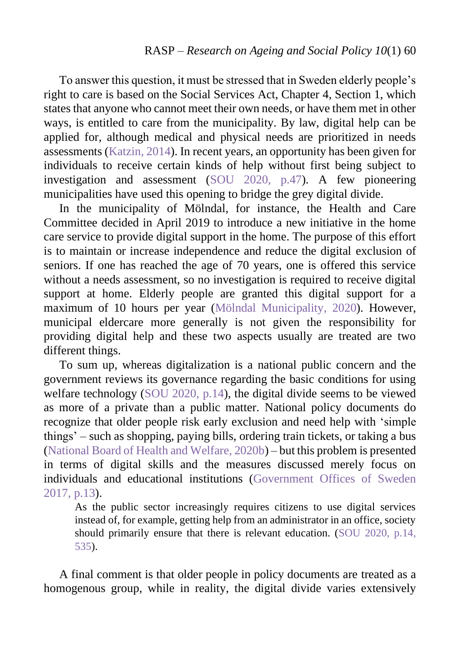To answer this question, it must be stressed that in Sweden elderly people's right to care is based on the Social Services Act, Chapter 4, Section 1, which states that anyone who cannot meet their own needs, or have them met in other ways, is entitled to care from the municipality. By law, digital help can be applied for, although medical and physical needs are prioritized in needs assessments [\(Katzin,](#page-26-7) 2014). In recent years, an opportunity has been given for individuals to receive certain kinds of help without first being subject to investigation and assessment [\(SOU 2020, p.47\)](#page-28-0). A few pioneering municipalities have used this opening to bridge the grey digital divide.

In the municipality of Mölndal, for instance, the Health and Care Committee decided in April 2019 to introduce a new initiative in the home care service to provide digital support in the home. The purpose of this effort is to maintain or increase independence and reduce the digital exclusion of seniors. If one has reached the age of 70 years, one is offered this service without a needs assessment, so no investigation is required to receive digital support at home. Elderly people are granted this digital support for a maximum of 10 hours per year [\(Mölndal Municipality,](#page-26-8) 2020). However, municipal eldercare more generally is not given the responsibility for providing digital help and these two aspects usually are treated are two different things.

To sum up, whereas digitalization is a national public concern and the government reviews its governance regarding the basic conditions for using welfare technology [\(SOU 2020, p.14\)](#page-28-0), the digital divide seems to be viewed as more of a private than a public matter. National policy documents do recognize that older people risk early exclusion and need help with 'simple things' – such as shopping, paying bills, ordering train tickets, or taking a bus [\(National Board of Health and Welfare, 2020b\)](#page-26-9) – but this problem is presented in terms of digital skills and the measures discussed merely focus on individuals and educational institutions [\(Government Offices of Sweden](#page-25-7)  [2017, p.13\)](#page-25-7).

As the public sector increasingly requires citizens to use digital services instead of, for example, getting help from an administrator in an office, society should primarily ensure that there is relevant education. [\(SOU 2020, p.14,](#page-28-0) 535).

A final comment is that older people in policy documents are treated as a homogenous group, while in reality, the digital divide varies extensively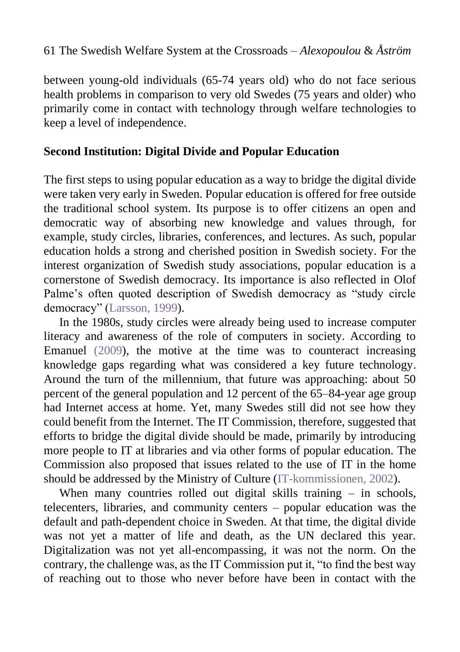between young-old individuals (65-74 years old) who do not face serious health problems in comparison to very old Swedes (75 years and older) who primarily come in contact with technology through welfare technologies to keep a level of independence.

## **Second Institution: Digital Divide and Popular Education**

The first steps to using popular education as a way to bridge the digital divide were taken very early in Sweden. Popular education is offered for free outside the traditional school system. Its purpose is to offer citizens an open and democratic way of absorbing new knowledge and values through, for example, study circles, libraries, conferences, and lectures. As such, popular education holds a strong and cherished position in Swedish society. For the interest organization of Swedish study associations, popular education is a cornerstone of Swedish democracy. Its importance is also reflected in Olof Palme's often quoted description of Swedish democracy as "study circle democracy" [\(Larsson,](#page-26-10) 1999).

In the 1980s, study circles were already being used to increase computer literacy and awareness of the role of computers in society. According to Emanuel [\(2009\)](#page-24-5), the motive at the time was to counteract increasing knowledge gaps regarding what was considered a key future technology. Around the turn of the millennium, that future was approaching: about 50 percent of the general population and 12 percent of the 65–84-year age group had Internet access at home. Yet, many Swedes still did not see how they could benefit from the Internet. The IT Commission, therefore, suggested that efforts to bridge the digital divide should be made, primarily by introducing more people to IT at libraries and via other forms of popular education. The Commission also proposed that issues related to the use of IT in the home should be addressed by the Ministry of Culture [\(IT-kommissionen,](#page-25-8) 2002).

When many countries rolled out digital skills training – in schools, telecenters, libraries, and community centers – popular education was the default and path-dependent choice in Sweden. At that time, the digital divide was not yet a matter of life and death, as the UN declared this year. Digitalization was not yet all-encompassing, it was not the norm. On the contrary, the challenge was, as the IT Commission put it, "to find the best way of reaching out to those who never before have been in contact with the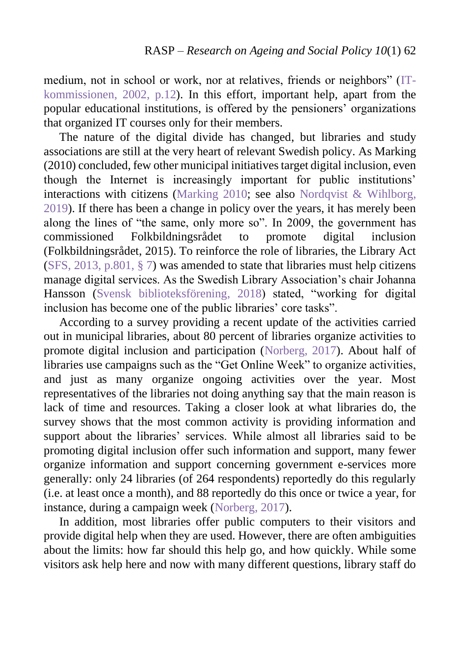medium, not in school or work, nor at relatives, friends or neighbors" [\(IT](#page-25-8)[kommissionen,](#page-25-8) 2002, p.12). In this effort, important help, apart from the popular educational institutions, is offered by the pensioners' organizations that organized IT courses only for their members.

The nature of the digital divide has changed, but libraries and study associations are still at the very heart of relevant Swedish policy. As Marking (2010) concluded, few other municipal initiatives target digital inclusion, even though the Internet is increasingly important for public institutions' interactions with citizens [\(Marking 2010;](#page-26-11) see also [Nordqvist &](#page-27-6) Wihlborg, [2019\)](#page-27-6). If there has been a change in policy over the years, it has merely been along the lines of "the same, only more so". In 2009, the government has commissioned Folkbildningsrådet to promote digital inclusion (Folkbildningsrådet, 2015). To reinforce the role of libraries, the Library Act (SFS, [2013, p.801, § 7\)](#page-28-5) was amended to state that libraries must help citizens manage digital services. As the Swedish Library Association's chair Johanna Hansson [\(Svensk biblioteksförening,](#page-28-8) 2018) stated, "working for digital inclusion has become one of the public libraries' core tasks".

According to a survey providing a recent update of the activities carried out in municipal libraries, about 80 percent of libraries organize activities to promote digital inclusion and participation [\(Norberg,](#page-27-7) 2017). About half of libraries use campaigns such as the "Get Online Week" to organize activities, and just as many organize ongoing activities over the year. Most representatives of the libraries not doing anything say that the main reason is lack of time and resources. Taking a closer look at what libraries do, the survey shows that the most common activity is providing information and support about the libraries' services. While almost all libraries said to be promoting digital inclusion offer such information and support, many fewer organize information and support concerning government e-services more generally: only 24 libraries (of 264 respondents) reportedly do this regularly (i.e. at least once a month), and 88 reportedly do this once or twice a year, for instance, during a campaign week [\(Norberg, 2017\)](#page-27-7).

In addition, most libraries offer public computers to their visitors and provide digital help when they are used. However, there are often ambiguities about the limits: how far should this help go, and how quickly. While some visitors ask help here and now with many different questions, library staff do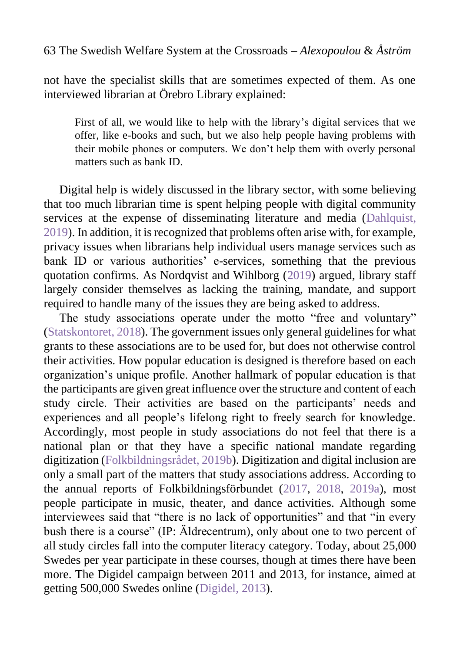not have the specialist skills that are sometimes expected of them. As one interviewed librarian at Örebro Library explained:

First of all, we would like to help with the library's digital services that we offer, like e-books and such, but we also help people having problems with their mobile phones or computers. We don't help them with overly personal matters such as bank ID.

Digital help is widely discussed in the library sector, with some believing that too much librarian time is spent helping people with digital community services at the expense of disseminating literature and media (Dahlquist, [2019\)](#page-24-6). In addition, it is recognized that problems often arise with, for example, privacy issues when librarians help individual users manage services such as bank ID or various authorities' e-services, something that the previous quotation confirms. As Nordqvist and Wihlborg [\(2019\)](#page-27-6) argued, library staff largely consider themselves as lacking the training, mandate, and support required to handle many of the issues they are being asked to address.

The study associations operate under the motto "free and voluntary" [\(Statskontoret, 2018\)](#page-28-9). The government issues only general guidelines for what grants to these associations are to be used for, but does not otherwise control their activities. How popular education is designed is therefore based on each organization's unique profile. Another hallmark of popular education is that the participants are given great influence over the structure and content of each study circle. Their activities are based on the participants' needs and experiences and all people's lifelong right to freely search for knowledge. Accordingly, most people in study associations do not feel that there is a national plan or that they have a specific national mandate regarding digitization [\(Folkbildningsrådet,](#page-24-7) 2019b). Digitization and digital inclusion are only a small part of the matters that study associations address. According to the annual reports of Folkbildningsförbundet [\(2017,](#page-24-7) 2018, 2019a), most people participate in music, theater, and dance activities. Although some interviewees said that "there is no lack of opportunities" and that "in every bush there is a course" (IP: Äldrecentrum), only about one to two percent of all study circles fall into the computer literacy category. Today, about 25,000 Swedes per year participate in these courses, though at times there have been more. The Digidel campaign between 2011 and 2013, for instance, aimed at getting 500,000 Swedes online [\(Digidel,](#page-24-8) 2013).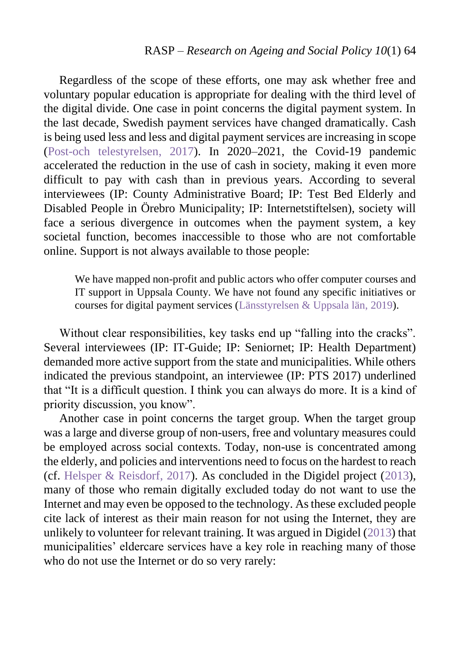Regardless of the scope of these efforts, one may ask whether free and voluntary popular education is appropriate for dealing with the third level of the digital divide. One case in point concerns the digital payment system. In the last decade, Swedish payment services have changed dramatically. Cash is being used less and less and digital payment services are increasing in scope [\(Post-och telestyrelsen,](#page-27-8) 2017). In 2020–2021, the Covid-19 pandemic accelerated the reduction in the use of cash in society, making it even more difficult to pay with cash than in previous years. According to several interviewees (IP: County Administrative Board; IP: Test Bed Elderly and Disabled People in Örebro Municipality; IP: Internetstiftelsen), society will face a serious divergence in outcomes when the payment system, a key societal function, becomes inaccessible to those who are not comfortable online. Support is not always available to those people:

We have mapped non-profit and public actors who offer computer courses and IT support in Uppsala County. We have not found any specific initiatives or courses for digital payment services [\(Länsstyrelsen & Uppsala län,](#page-26-12) 2019).

Without clear responsibilities, key tasks end up "falling into the cracks". Several interviewees (IP: IT-Guide; IP: Seniornet; IP: Health Department) demanded more active support from the state and municipalities. While others indicated the previous standpoint, an interviewee (IP: PTS 2017) underlined that "It is a difficult question. I think you can always do more. It is a kind of priority discussion, you know".

Another case in point concerns the target group. When the target group was a large and diverse group of non-users, free and voluntary measures could be employed across social contexts. Today, non-use is concentrated among the elderly, and policies and interventions need to focus on the hardest to reach (cf. [Helsper & Reisdorf,](#page-25-1) 2017). As concluded in the Digidel project [\(2013\)](#page-24-8), many of those who remain digitally excluded today do not want to use the Internet and may even be opposed to the technology. As these excluded people cite lack of interest as their main reason for not using the Internet, they are unlikely to volunteer for relevant training. It was argued in Digidel [\(2013\)](#page-24-8) that municipalities' eldercare services have a key role in reaching many of those who do not use the Internet or do so very rarely: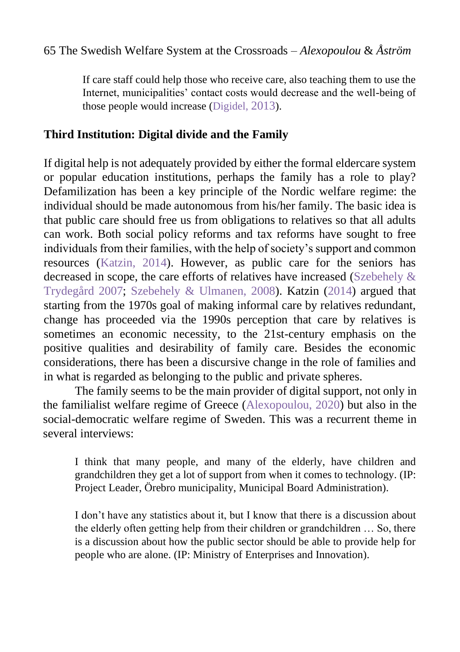If care staff could help those who receive care, also teaching them to use the Internet, municipalities' contact costs would decrease and the well-being of those people would increase (Digidel, [2013](#page-24-8)).

# **Third Institution: Digital divide and the Family**

If digital help is not adequately provided by either the formal eldercare system or popular education institutions, perhaps the family has a role to play? Defamilization has been a key principle of the Nordic welfare regime: the individual should be made autonomous from his/her family. The basic idea is that public care should free us from obligations to relatives so that all adults can work. Both social policy reforms and tax reforms have sought to free individuals from their families, with the help of society's support and common resources [\(Katzin,](#page-26-7) 2014). However, as public care for the seniors has decreased in scope, the care efforts of relatives have increased [\(Szebehely &](#page-28-2) [Trydegård 2007;](#page-28-2) [Szebehely &](#page-28-10) Ulmanen, 2008). Katzin [\(2014\)](#page-26-7) argued that starting from the 1970s goal of making informal care by relatives redundant, change has proceeded via the 1990s perception that care by relatives is sometimes an economic necessity, to the 21st-century emphasis on the positive qualities and desirability of family care. Besides the economic considerations, there has been a discursive change in the role of families and in what is regarded as belonging to the public and private spheres.

The family seems to be the main provider of digital support, not only in the familialist welfare regime of Greece [\(Alexopoulou,](#page-23-0) 2020) but also in the social-democratic welfare regime of Sweden. This was a recurrent theme in several interviews:

I think that many people, and many of the elderly, have children and grandchildren they get a lot of support from when it comes to technology. (IP: Project Leader, Örebro municipality, Municipal Board Administration).

I don't have any statistics about it, but I know that there is a discussion about the elderly often getting help from their children or grandchildren … So, there is a discussion about how the public sector should be able to provide help for people who are alone. (IP: Ministry of Enterprises and Innovation).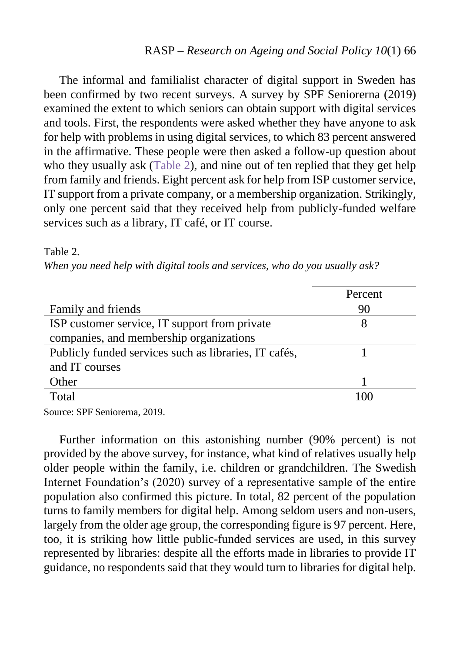The informal and familialist character of digital support in Sweden has been confirmed by two recent surveys. A survey by SPF Seniorerna (2019) examined the extent to which seniors can obtain support with digital services and tools. First, the respondents were asked whether they have anyone to ask for help with problems in using digital services, to which 83 percent answered in the affirmative. These people were then asked a follow-up question about who they usually ask (Table 2), and nine out of ten replied that they get help from family and friends. Eight percent ask for help from ISP customer service, IT support from a private company, or a membership organization. Strikingly, only one percent said that they received help from publicly-funded welfare services such as a library, IT café, or IT course.

#### Table 2.

*When you need help with digital tools and services, who do you usually ask?* 

| Percent |
|---------|
|         |
| 90      |
| 8       |
|         |
|         |
|         |
|         |
| 1 O C   |
|         |

Source: SPF Seniorerna, 2019.

Further information on this astonishing number (90% percent) is not provided by the above survey, for instance, what kind of relatives usually help older people within the family, i.e. children or grandchildren. The Swedish Internet Foundation's (2020) survey of a representative sample of the entire population also confirmed this picture. In total, 82 percent of the population turns to family members for digital help. Among seldom users and non-users, largely from the older age group, the corresponding figure is 97 percent. Here, too, it is striking how little public-funded services are used, in this survey represented by libraries: despite all the efforts made in libraries to provide IT guidance, no respondents said that they would turn to libraries for digital help.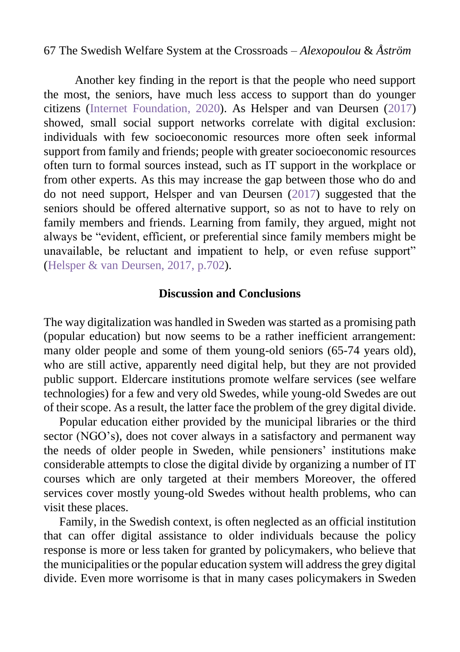Another key finding in the report is that the people who need support the most, the seniors, have much less access to support than do younger citizens [\(Internet Foundation,](#page-28-11) 2020). As Helsper and van Deursen [\(2017\)](#page-25-1) showed, small social support networks correlate with digital exclusion: individuals with few socioeconomic resources more often seek informal support from family and friends; people with greater socioeconomic resources often turn to formal sources instead, such as IT support in the workplace or from other experts. As this may increase the gap between those who do and do not need support, Helsper and van Deursen [\(2017\)](#page-25-9) suggested that the seniors should be offered alternative support, so as not to have to rely on family members and friends. Learning from family, they argued, might not always be "evident, efficient, or preferential since family members might be unavailable, be reluctant and impatient to help, or even refuse support" (Helsper & [van Deursen,](#page-25-1) 2017, p.702).

#### **Discussion and Conclusions**

The way digitalization was handled in Sweden was started as a promising path (popular education) but now seems to be a rather inefficient arrangement: many older people and some of them young-old seniors (65-74 years old), who are still active, apparently need digital help, but they are not provided public support. Eldercare institutions promote welfare services (see welfare technologies) for a few and very old Swedes, while young-old Swedes are out of their scope. As a result, the latter face the problem of the grey digital divide.

Popular education either provided by the municipal libraries or the third sector (NGO's), does not cover always in a satisfactory and permanent way the needs of older people in Sweden, while pensioners' institutions make considerable attempts to close the digital divide by organizing a number of IT courses which are only targeted at their members Moreover, the offered services cover mostly young-old Swedes without health problems, who can visit these places.

Family, in the Swedish context, is often neglected as an official institution that can offer digital assistance to older individuals because the policy response is more or less taken for granted by policymakers, who believe that the municipalities or the popular education system will address the grey digital divide. Even more worrisome is that in many cases policymakers in Sweden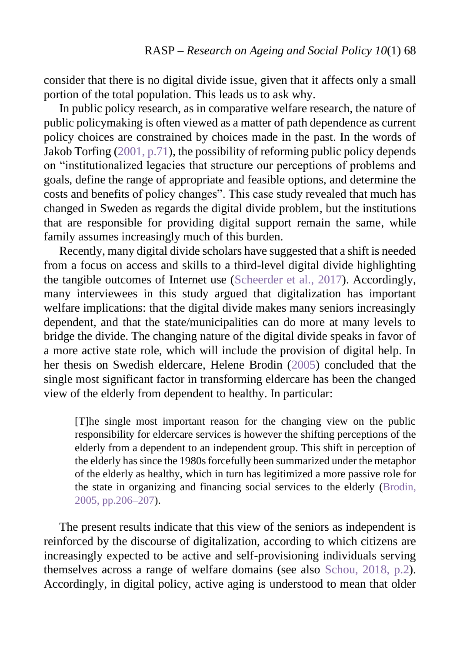consider that there is no digital divide issue, given that it affects only a small portion of the total population. This leads us to ask why.

In public policy research, as in comparative welfare research, the nature of public policymaking is often viewed as a matter of path dependence as current policy choices are constrained by choices made in the past. In the words of Jakob Torfing [\(2001, p.71\)](#page-29-2), the possibility of reforming public policy depends on "institutionalized legacies that structure our perceptions of problems and goals, define the range of appropriate and feasible options, and determine the costs and benefits of policy changes". This case study revealed that much has changed in Sweden as regards the digital divide problem, but the institutions that are responsible for providing digital support remain the same, while family assumes increasingly much of this burden.

Recently, many digital divide scholars have suggested that a shift is needed from a focus on access and skills to a third-level digital divide highlighting the tangible outcomes of Internet use [\(Scheerder et al.,](#page-27-9) 2017). Accordingly, many interviewees in this study argued that digitalization has important welfare implications: that the digital divide makes many seniors increasingly dependent, and that the state/municipalities can do more at many levels to bridge the divide. The changing nature of the digital divide speaks in favor of a more active state role, which will include the provision of digital help. In her thesis on Swedish eldercare, Helene Brodin [\(2005\)](#page-23-9) concluded that the single most significant factor in transforming eldercare has been the changed view of the elderly from dependent to healthy. In particular:

[T]he single most important reason for the changing view on the public responsibility for eldercare services is however the shifting perceptions of the elderly from a dependent to an independent group. This shift in perception of the elderly has since the 1980s forcefully been summarized under the metaphor of the elderly as healthy, which in turn has legitimized a more passive role for the state in organizing and financing social services to the elderly [\(Brodin,](#page-23-9) [2005, pp.206–207\)](#page-23-9).

The present results indicate that this view of the seniors as independent is reinforced by the discourse of digitalization, according to which citizens are increasingly expected to be active and self-provisioning individuals serving themselves across a range of welfare domains (see also Schou, [2018, p.2\)](#page-27-1). Accordingly, in digital policy, active aging is understood to mean that older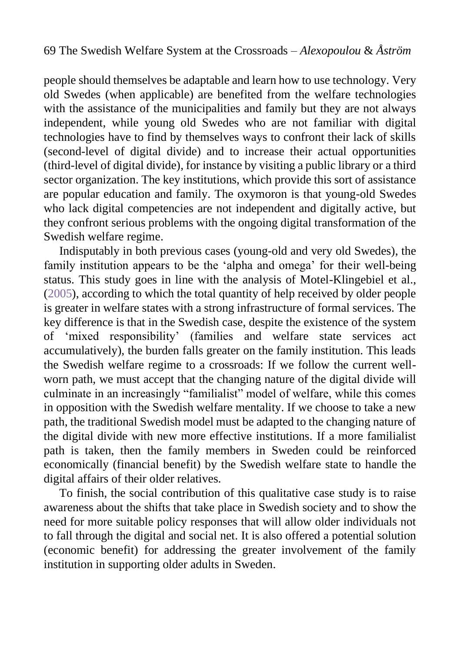people should themselves be adaptable and learn how to use technology. Very old Swedes (when applicable) are benefited from the welfare technologies with the assistance of the municipalities and family but they are not always independent, while young old Swedes who are not familiar with digital technologies have to find by themselves ways to confront their lack of skills (second-level of digital divide) and to increase their actual opportunities (third-level of digital divide), for instance by visiting a public library or a third sector organization. The key institutions, which provide this sort of assistance are popular education and family. The oxymoron is that young-old Swedes who lack digital competencies are not independent and digitally active, but they confront serious problems with the ongoing digital transformation of the Swedish welfare regime.

Indisputably in both previous cases (young-old and very old Swedes), the family institution appears to be the 'alpha and omega' for their well-being status. This study goes in line with the analysis of Motel-Klingebiel et al., [\(2005\)](#page-26-1), according to which the total quantity of help received by older people is greater in welfare states with a strong infrastructure of formal services. The key difference is that in the Swedish case, despite the existence of the system of 'mixed responsibility' (families and welfare state services act accumulatively), the burden falls greater on the family institution. This leads the Swedish welfare regime to a crossroads: If we follow the current wellworn path, we must accept that the changing nature of the digital divide will culminate in an increasingly "familialist" model of welfare, while this comes in opposition with the Swedish welfare mentality. If we choose to take a new path, the traditional Swedish model must be adapted to the changing nature of the digital divide with new more effective institutions. If a more familialist path is taken, then the family members in Sweden could be reinforced economically (financial benefit) by the Swedish welfare state to handle the digital affairs of their older relatives.

To finish, the social contribution of this qualitative case study is to raise awareness about the shifts that take place in Swedish society and to show the need for more suitable policy responses that will allow older individuals not to fall through the digital and social net. It is also offered a potential solution (economic benefit) for addressing the greater involvement of the family institution in supporting older adults in Sweden.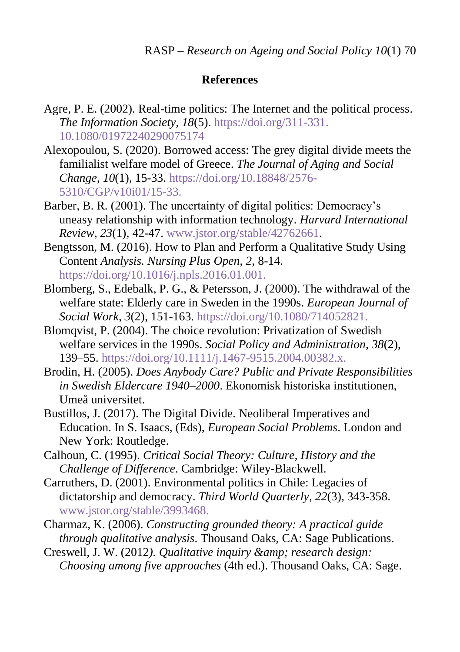## **References**

- <span id="page-23-2"></span>Agre, P. E. (2002). Real-time politics: The Internet and the political process. *The Information Society*, *18*(5). [https://doi.org/311-331.](https://doi.org/311-331.%2010.1080/01972240290075174) [10.1080/01972240290075174](https://doi.org/311-331.%2010.1080/01972240290075174)
- <span id="page-23-0"></span>Alexopoulou, S. (2020). Borrowed access: The grey digital divide meets the familialist welfare model of Greece. *The Journal of Aging and Social Change*, *10*(1), 15-33. [https://doi.org/10.18848/2576-](https://doi.org/10.18848/2576-5310/CGP/v10i01/15-33.) [5310/CGP/v10i01/15-33.](https://doi.org/10.18848/2576-5310/CGP/v10i01/15-33.)
- <span id="page-23-4"></span>Barber, B. R. (2001). The uncertainty of digital politics: Democracy's uneasy relationship with information technology. *Harvard International Review*, *23*(1), 42-47. [www.jstor.org/stable/42762661.](www.jstor.org/stable/42762661)
- <span id="page-23-7"></span>Bengtsson, M. (2016). How to Plan and Perform a Qualitative Study Using Content *Analysis. Nursing Plus Open, 2*, 8-14. https://doi.org/10.1016/j.npls.2016.01.001.
- Blomberg, S., Edebalk, P. G., & Petersson, J. (2000). The withdrawal of the welfare state: Elderly care in Sweden in the 1990s. *European Journal of Social Work*, *3*(2), 151-163. <https://doi.org/10.1080/714052821.>
- <span id="page-23-5"></span>Blomqvist, P. (2004). The choice revolution: Privatization of Swedish welfare services in the 1990s. *Social Policy and Administration*, *38*(2), 139–55. <https://doi.org/10.1111/j.1467-9515.2004.00382.x.>
- <span id="page-23-9"></span>Brodin, H. (2005). *Does Anybody Care? Public and Private Responsibilities in Swedish Eldercare 1940–2000*. Ekonomisk historiska institutionen, Umeå universitet.
- <span id="page-23-1"></span>Bustillos, J. (2017). The Digital Divide. Neoliberal Imperatives and Education. In S. Isaacs, (Eds), *European Social Problems*. London and New York: Routledge.
- <span id="page-23-3"></span>Calhoun, C. (1995). *Critical Social Theory: Culture, History and the Challenge of Difference*. Cambridge: Wiley-Blackwell.
- Carruthers, D. (2001). Environmental politics in Chile: Legacies of dictatorship and democracy. *Third World Quarterly*, *22*(3), 343-358. [www.jstor.org/stable/3993468.](http://www.jstor.org/stable/3993468)

<span id="page-23-8"></span>Charmaz, K. (2006). *Constructing grounded theory: A practical guide through qualitative analysis*. Thousand Oaks, CA: Sage Publications.

<span id="page-23-6"></span>Creswell, J. W. (2012). *Qualitative inquiry & amp*; *research design*: *Choosing among five approaches* (4th ed.). Thousand Oaks, CA: Sage.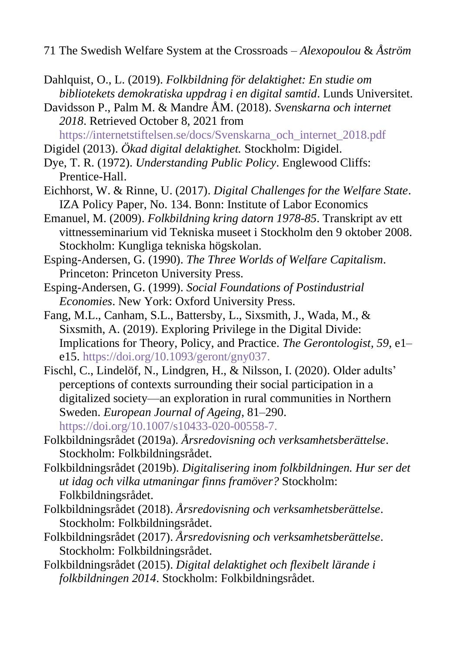71 The Swedish Welfare System at the Crossroads – *Alexopoulou* & *Åström*

- <span id="page-24-6"></span>Dahlquist, O., L. (2019). *Folkbildning för delaktighet: En studie om bibliotekets demokratiska uppdrag i en digital samtid*. Lunds Universitet.
- <span id="page-24-1"></span>Davidsson P., Palm M. & Mandre ÅM. (2018). *Svenskarna och internet 2018*. Retrieved October 8, 2021 from
- [https://internetstiftelsen.se/docs/Svenskarna\\_och\\_internet\\_2018.pdf](https://internetstiftelsen.se/docs/Svenskarna_och_internet_2018.pdf)
- <span id="page-24-8"></span>Digidel (2013). *Ökad digital delaktighet.* Stockholm: Digidel.
- <span id="page-24-4"></span>Dye, T. R. (1972). *Understanding Public Policy*. Englewood Cliffs: Prentice-Hall.
- Eichhorst, W. & Rinne, U. (2017). *Digital Challenges for the Welfare State*. IZA Policy Paper, No. 134. Bonn: Institute of Labor Economics
- <span id="page-24-5"></span>Emanuel, M. (2009). *Folkbildning kring datorn 1978-85*. Transkript av ett vittnesseminarium vid Tekniska museet i Stockholm den 9 oktober 2008. Stockholm: Kungliga tekniska högskolan.
- <span id="page-24-0"></span>Esping-Andersen, G. (1990). *The Three Worlds of Welfare Capitalism*. Princeton: Princeton University Press.
- Esping-Andersen, G. (1999). *Social Foundations of Postindustrial Economies*. New York: Oxford University Press.
- <span id="page-24-3"></span>Fang, M.L., Canham, S.L., Battersby, L., Sixsmith, J., Wada, M., & Sixsmith, A. (2019). Exploring Privilege in the Digital Divide: Implications for Theory, Policy, and Practice. *The Gerontologist, 59*, e1– e15. <https://doi.org/10.1093/geront/gny037.>
- <span id="page-24-2"></span>Fischl, C., Lindelöf, N., Lindgren, H., & Nilsson, I. (2020). Older adults' perceptions of contexts surrounding their social participation in a digitalized society—an exploration in rural communities in Northern Sweden. *European Journal of Ageing*, 81–290. <https://doi.org/10.1007/s10433-020-00558-7.>
- <span id="page-24-7"></span>Folkbildningsrådet (2019a). *Årsredovisning och verksamhetsberättelse*. Stockholm: Folkbildningsrådet.
- Folkbildningsrådet (2019b). *Digitalisering inom folkbildningen. Hur ser det ut idag och vilka utmaningar finns framöver?* Stockholm: Folkbildningsrådet.
- Folkbildningsrådet (2018). *Årsredovisning och verksamhetsberättelse*. Stockholm: Folkbildningsrådet.
- Folkbildningsrådet (2017). *Årsredovisning och verksamhetsberättelse*. Stockholm: Folkbildningsrådet.
- Folkbildningsrådet (2015). *Digital delaktighet och flexibelt lärande i folkbildningen 2014*. Stockholm: Folkbildningsrådet.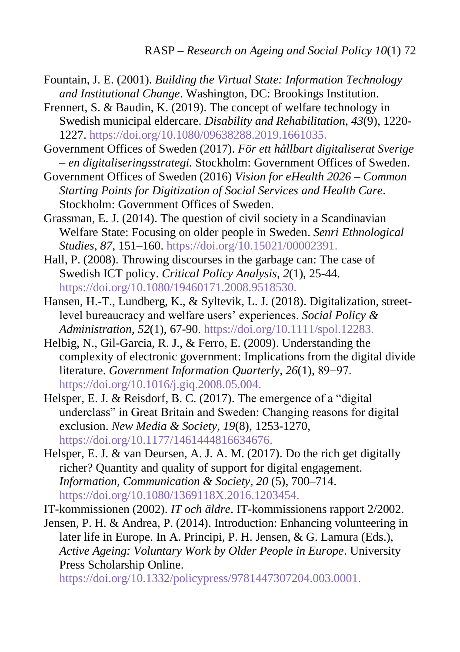- <span id="page-25-2"></span>Fountain, J. E. (2001). *Building the Virtual State: Information Technology and Institutional Change*. Washington, DC: Brookings Institution.
- <span id="page-25-4"></span>Frennert, S. & Baudin, K. (2019). The concept of welfare technology in Swedish municipal eldercare. *Disability and Rehabilitation*, *43*(9), 1220- 1227.<https://doi.org/10.1080/09638288.2019.1661035.>
- <span id="page-25-6"></span>Government Offices of Sweden (2017). *För ett hållbart digitaliserat Sverige – en digitaliseringsstrategi.* Stockholm: Government Offices of Sweden.
- <span id="page-25-7"></span>Government Offices of Sweden (2016) *Vision for eHealth 2026 – Common Starting Points for Digitization of Social Services and Health Care*. Stockholm: Government Offices of Sweden.
- <span id="page-25-3"></span>Grassman, E. J. (2014). The question of civil society in a Scandinavian Welfare State: Focusing on older people in Sweden. *Senri Ethnological Studies*, *87*, 151–160. <https://doi.org/10.15021/00002391.>
- Hall, P. (2008). Throwing discourses in the garbage can: The case of Swedish ICT policy. *Critical Policy Analysis*, *2*(1), 25-44. <https://doi.org/10.1080/19460171.2008.9518530.>
- Hansen, H.-T., Lundberg, K., & Syltevik, L. J. (2018). Digitalization, streetlevel bureaucracy and welfare users' experiences. *Social Policy & Administration*, *52*(1), 67-90. <https://doi.org/10.1111/spol.12283.>
- <span id="page-25-0"></span>Helbig, N., Gil-Garcia, R. J., & Ferro, E. (2009). Understanding the complexity of electronic government: Implications from the digital divide literature. *Government Information Quarterly*, *26*(1), 89−97. <https://doi.org/10.1016/j.giq.2008.05.004.>
- <span id="page-25-1"></span>Helsper, E. J. & Reisdorf, B. C. (2017). The emergence of a "digital underclass" in Great Britain and Sweden: Changing reasons for digital exclusion. *New Media & Society*, *19*(8), 1253-1270, <https://doi.org/10.1177/1461444816634676.>
- <span id="page-25-9"></span>Helsper, E. J. & van Deursen, A. J. A. M. (2017). Do the rich get digitally richer? Quantity and quality of support for digital engagement. *Information, Communication & Society*, *20* (5), 700–714. <https://doi.org/10.1080/1369118X.2016.1203454.>
- <span id="page-25-8"></span>IT-kommissionen (2002). *IT och äldre*. IT-kommissionens rapport 2/2002.
- <span id="page-25-5"></span>Jensen, P. H. & Andrea, P. (2014). Introduction: Enhancing volunteering in later life in Europe. In A. Principi, P. H. Jensen, & G. Lamura (Eds.), *Active Ageing: Voluntary Work by Older People in Europe*. University Press Scholarship Online.

<https://doi.org/10.1332/policypress/9781447307204.003.0001.>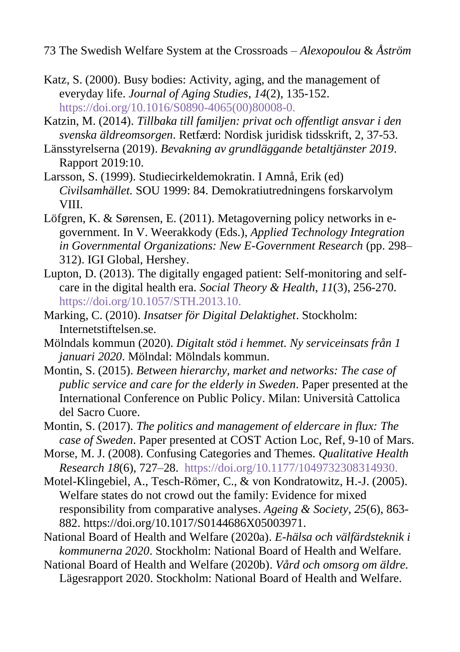73 The Swedish Welfare System at the Crossroads – *Alexopoulou* & *Åström*

- <span id="page-26-4"></span>Katz, S. (2000). Busy bodies: Activity, aging, and the management of everyday life. *Journal of Aging Studies*, *14*(2), 135-152. [https://doi.org/10.1016/S0890-4065\(00\)80008-0.](https://doi.org/10.1016/S0890-4065(00)80008-0.)
- <span id="page-26-7"></span>Katzin, M. (2014). *Tillbaka till familjen: privat och offentligt ansvar i den svenska äldreomsorgen*. Retfærd: Nordisk juridisk tidsskrift, 2, 37-53.
- <span id="page-26-12"></span>Länsstyrelserna (2019). *Bevakning av grundläggande betaltjänster 2019*. Rapport 2019:10.
- <span id="page-26-10"></span>Larsson, S. (1999). Studiecirkeldemokratin. I Amnå, Erik (ed) *Civilsamhället.* SOU 1999: 84. Demokratiutredningens forskarvolym VIII.
- <span id="page-26-0"></span>Löfgren, K. & Sørensen, E. (2011). Metagoverning policy networks in egovernment. In V. Weerakkody (Eds.), *Applied Technology Integration in Governmental Organizations: New E-Government Research* (pp. 298– 312). IGI Global, Hershey.
- <span id="page-26-3"></span>Lupton, D. (2013). The digitally engaged patient: Self-monitoring and selfcare in the digital health era. *Social Theory & Health*, *11*(3), 256-270. <https://doi.org/10.1057/STH.2013.10.>
- <span id="page-26-11"></span>Marking, C. (2010). *Insatser för Digital Delaktighet*. Stockholm: Internetstiftelsen.se.
- <span id="page-26-8"></span>Mölndals kommun (2020). *Digitalt stöd i hemmet. Ny serviceinsats från 1 januari 2020*. Mölndal: Mölndals kommun.
- <span id="page-26-2"></span>Montin, S. (2015). *Between hierarchy, market and networks: The case of public service and care for the elderly in Sweden*. Paper presented at the International Conference on Public Policy. Milan: Università Cattolica del Sacro Cuore.
- Montin, S. (2017). *The politics and management of eldercare in flux: The case of Sweden*. Paper presented at COST Action Loc, Ref, 9-10 of Mars.
- <span id="page-26-5"></span>Morse, M. J. (2008). Confusing Categories and Themes. *Qualitative Health Research 18*(6), 727–28. <https://doi.org/10.1177/1049732308314930.>
- <span id="page-26-1"></span>Motel-Klingebiel, A., Tesch-Römer, C., & von Kondratowitz, H.-J. (2005). Welfare states do not crowd out the family: Evidence for mixed responsibility from comparative analyses. *Ageing & Society*, *25*(6), 863- 882. https://doi.org/10.1017/S0144686X05003971.
- <span id="page-26-6"></span>National Board of Health and Welfare (2020a). *E-hälsa och välfärdsteknik i kommunerna 2020*. Stockholm: National Board of Health and Welfare.

<span id="page-26-9"></span>National Board of Health and Welfare (2020b). *Vård och omsorg om äldre.* Lägesrapport 2020. Stockholm: National Board of Health and Welfare.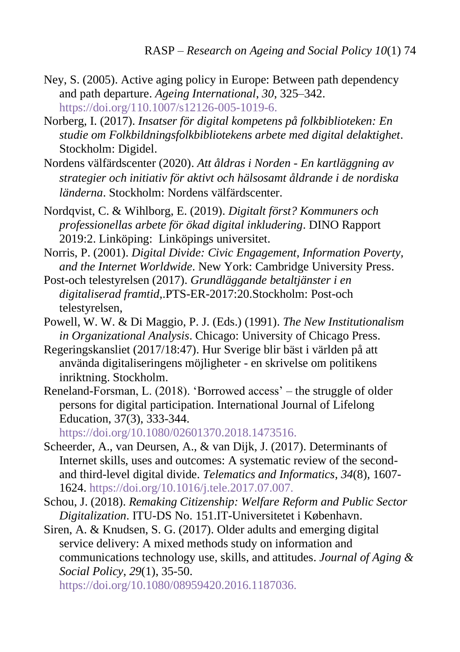- <span id="page-27-5"></span>Ney, S. (2005). Active aging policy in Europe: Between path dependency and path departure. *Ageing International*, *30*, 325–342. <https://doi.org/110.1007/s12126-005-1019-6.>
- <span id="page-27-7"></span>Norberg, I. (2017). *Insatser för digital kompetens på folkbiblioteken: En studie om Folkbildningsfolkbibliotekens arbete med digital delaktighet*. Stockholm: Digidel.
- Nordens välfärdscenter (2020). *Att åldras i Norden - En kartläggning av strategier och initiativ för aktivt och hälsosamt åldrande i de nordiska länderna*. Stockholm: Nordens välfärdscenter.
- <span id="page-27-6"></span>Nordqvist, C. & Wihlborg, E. (2019). *Digitalt först? Kommuners och professionellas arbete för ökad digital inkludering*. DINO Rapport 2019:2. Linköping: Linköpings universitet.
- Norris, P. (2001). *Digital Divide: Civic Engagement, Information Poverty, and the Internet Worldwide*. New York: Cambridge University Press.
- <span id="page-27-8"></span>Post-och telestyrelsen (2017). *Grundläggande betaltjänster i en digitaliserad framtid*,.PTS-ER-2017:20.Stockholm: Post-och telestyrelsen,
- <span id="page-27-4"></span>Powell, W. W. & Di Maggio, P. J. (Eds.) (1991). *The New Institutionalism in Organizational Analysis*. Chicago: University of Chicago Press.
- <span id="page-27-0"></span>Regeringskansliet (2017/18:47). Hur Sverige blir bäst i världen på att använda digitaliseringens möjligheter - en skrivelse om politikens inriktning. Stockholm.
- <span id="page-27-3"></span>Reneland-Forsman, L. (2018). 'Borrowed access' – the struggle of older persons for digital participation. International Journal of Lifelong Education, 37(3), 333-344.

<https://doi.org/10.1080/02601370.2018.1473516.>

- <span id="page-27-9"></span>Scheerder, A., van Deursen, A., & van Dijk, J. (2017). Determinants of Internet skills, uses and outcomes: A systematic review of the secondand third-level digital divide. *Telematics and Informatics*, *34*(8), 1607- 1624. <https://doi.org/10.1016/j.tele.2017.07.007.>
- <span id="page-27-1"></span>[Schou, J.](https://pure.itu.dk/portal/en/persons/jannick-schou(37d2d64e-933b-4abf-adef-d477de61e9bf).html) (2018). *[Remaking Citizenship: Welfare Reform and Public Sector](https://pure.itu.dk/portal/en/publications/remaking-citizenship-welfare-reform-and-public-sector-digitalization(839ddfcf-57f6-48ee-aa12-d0bbb9aec0da).html)  [Digitalization](https://pure.itu.dk/portal/en/publications/remaking-citizenship-welfare-reform-and-public-sector-digitalization(839ddfcf-57f6-48ee-aa12-d0bbb9aec0da).html)*. ITU-DS No. 151.IT-Universitetet i København.
- <span id="page-27-2"></span>Siren, A. & Knudsen, S. G. (2017). Older adults and emerging digital service delivery: A mixed methods study on information and communications technology use, skills, and attitudes. *Journal of Aging & Social Policy*, *29*(1), 35-50.

<https://doi.org/10.1080/08959420.2016.1187036.>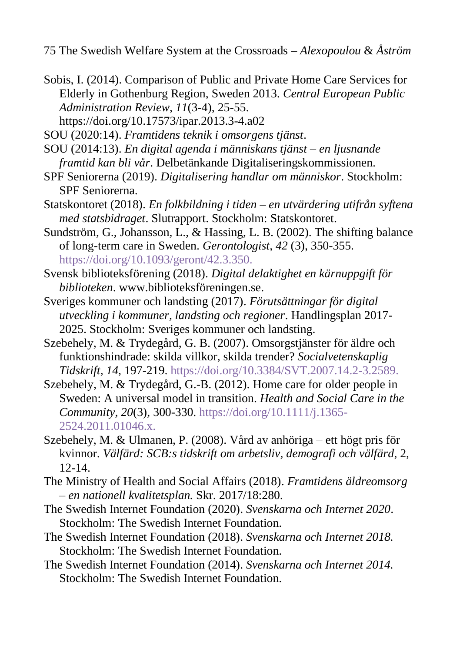<span id="page-28-4"></span>Sobis, I. (2014). Comparison of Public and Private Home Care Services for Elderly in Gothenburg Region, Sweden 2013. *Central European Public Administration Review*, *11*(3-4), 25-55.

<https://doi.org/10.17573/ipar.2013.3-4.a02>

<span id="page-28-0"></span>SOU (2020:14). *Framtidens teknik i omsorgens tjänst*.

- SOU (2014:13). *En digital agenda i människans tjänst – en ljusnande framtid kan bli vår*. Delbetänkande Digitaliseringskommissionen.
- <span id="page-28-5"></span>SPF Seniorerna (2019). *Digitalisering handlar om människor*. Stockholm: SPF Seniorerna.
- <span id="page-28-9"></span>Statskontoret (2018). *En folkbildning i tiden – en utvärdering utifrån syftena med statsbidraget*. Slutrapport. Stockholm: Statskontoret.
- <span id="page-28-3"></span>Sundström, G., Johansson, L., & Hassing, L. B. (2002). The shifting balance of long-term care in Sweden. *Gerontologist*, *42* (3), 350-355. <https://doi.org/10.1093/geront/42.3.350.>
- <span id="page-28-8"></span>Svensk biblioteksförening (2018). *Digital delaktighet en kärnuppgift för biblioteken*. www.biblioteksföreningen.se.
- <span id="page-28-6"></span>Sveriges kommuner och landsting (2017). *Förutsättningar för digital utveckling i kommuner, landsting och regioner*. Handlingsplan 2017- 2025. Stockholm: Sveriges kommuner och landsting.
- <span id="page-28-2"></span>Szebehely, M. & Trydegård, G. B. (2007). Omsorgstjänster för äldre och funktionshindrade: skilda villkor, skilda trender? *Socialvetenskaplig Tidskrift*, *14*, 197-219[. https://doi.org/10.3384/SVT.2007.14.2-3.2589.](https://doi.org/10.3384/SVT.2007.14.2-3.2589.)
- Szebehely, M. & Trydegård, G.-B. (2012). Home care for older people in Sweden: A universal model in transition. *Health and Social Care in the Community*, *20*(3), 300-330. [https://doi.org/10.1111/j.1365-](https://doi.org/10.1111/j.1365-2524.2011.01046.x.) [2524.2011.01046.x.](https://doi.org/10.1111/j.1365-2524.2011.01046.x.)
- <span id="page-28-10"></span>Szebehely, M. & Ulmanen, P. (2008). Vård av anhöriga – ett högt pris för kvinnor. *Välfärd: SCB:s tidskrift om arbetsliv, demografi och välfärd*, 2, 12-14.
- <span id="page-28-7"></span>The Ministry of Health and Social Affairs (2018). *Framtidens äldreomsorg – en nationell kvalitetsplan.* Skr. 2017/18:280.
- <span id="page-28-1"></span>The Swedish Internet Foundation (2020). *Svenskarna och Internet 2020*. Stockholm: The Swedish Internet Foundation.
- The Swedish Internet Foundation (2018). *Svenskarna och Internet 2018.* Stockholm: The Swedish Internet Foundation.
- <span id="page-28-11"></span>The Swedish Internet Foundation (2014). *Svenskarna och Internet 2014.* Stockholm: The Swedish Internet Foundation.